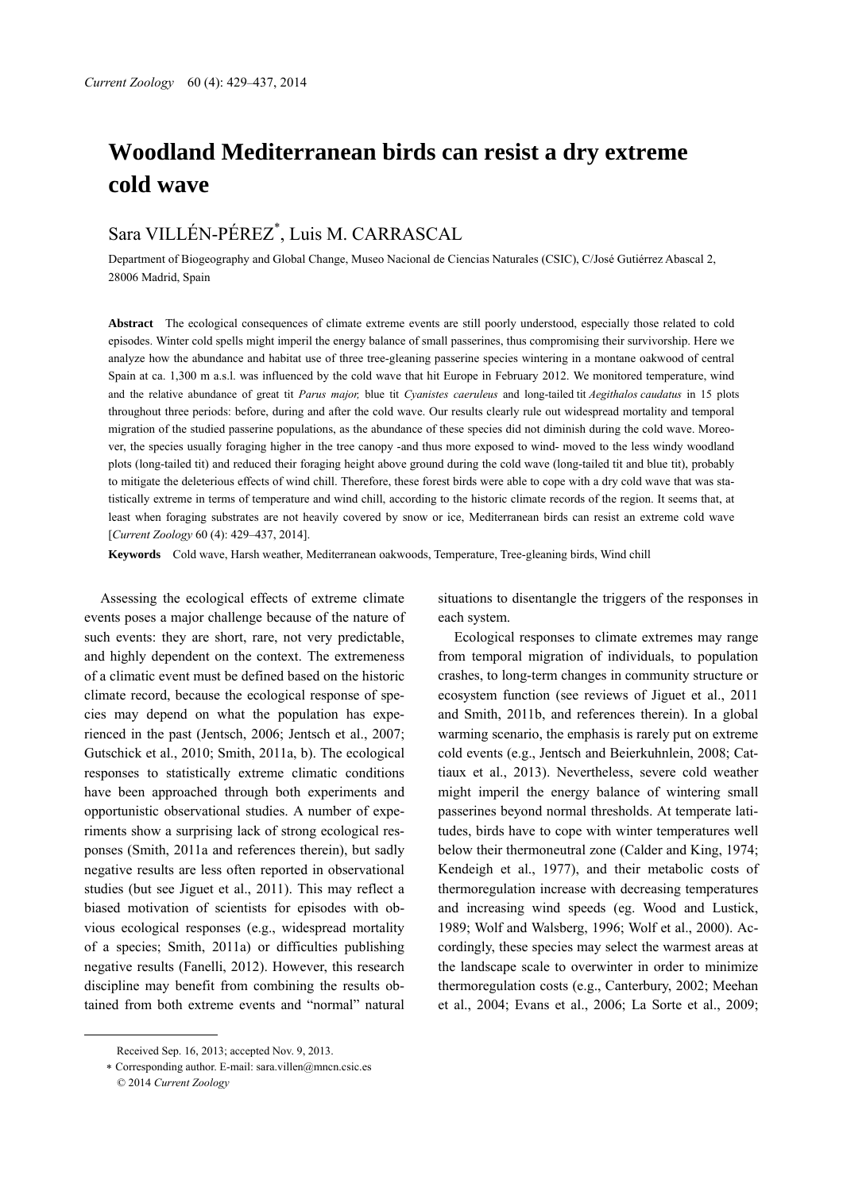# **Woodland Mediterranean birds can resist a dry extreme cold wave**

# Sara VILLÉN-PÉREZ\* , Luis M. CARRASCAL

Department of Biogeography and Global Change, Museo Nacional de Ciencias Naturales (CSIC), C/José Gutiérrez Abascal 2, 28006 Madrid, Spain

**Abstract** The ecological consequences of climate extreme events are still poorly understood, especially those related to cold episodes. Winter cold spells might imperil the energy balance of small passerines, thus compromising their survivorship. Here we analyze how the abundance and habitat use of three tree-gleaning passerine species wintering in a montane oakwood of central Spain at ca. 1,300 m a.s.l. was influenced by the cold wave that hit Europe in February 2012. We monitored temperature, wind and the relative abundance of great tit *Parus major,* blue tit *Cyanistes caeruleus* and long-tailed tit *Aegithalos caudatus* in 15 plots throughout three periods: before, during and after the cold wave. Our results clearly rule out widespread mortality and temporal migration of the studied passerine populations, as the abundance of these species did not diminish during the cold wave. Moreover, the species usually foraging higher in the tree canopy -and thus more exposed to wind- moved to the less windy woodland plots (long-tailed tit) and reduced their foraging height above ground during the cold wave (long-tailed tit and blue tit), probably to mitigate the deleterious effects of wind chill. Therefore, these forest birds were able to cope with a dry cold wave that was statistically extreme in terms of temperature and wind chill, according to the historic climate records of the region. It seems that, at least when foraging substrates are not heavily covered by snow or ice, Mediterranean birds can resist an extreme cold wave [*Current Zoology* 60 (4): 429–437, 2014].

**Keywords** Cold wave, Harsh weather, Mediterranean oakwoods, Temperature, Tree-gleaning birds, Wind chill

Assessing the ecological effects of extreme climate events poses a major challenge because of the nature of such events: they are short, rare, not very predictable, and highly dependent on the context. The extremeness of a climatic event must be defined based on the historic climate record, because the ecological response of species may depend on what the population has experienced in the past (Jentsch, 2006; Jentsch et al., 2007; Gutschick et al., 2010; Smith, 2011a, b). The ecological responses to statistically extreme climatic conditions have been approached through both experiments and opportunistic observational studies. A number of experiments show a surprising lack of strong ecological responses (Smith, 2011a and references therein), but sadly negative results are less often reported in observational studies (but see Jiguet et al., 2011). This may reflect a biased motivation of scientists for episodes with obvious ecological responses (e.g., widespread mortality of a species; Smith, 2011a) or difficulties publishing negative results (Fanelli, 2012). However, this research discipline may benefit from combining the results obtained from both extreme events and "normal" natural

1

situations to disentangle the triggers of the responses in each system.

Ecological responses to climate extremes may range from temporal migration of individuals, to population crashes, to long-term changes in community structure or ecosystem function (see reviews of Jiguet et al., 2011 and Smith, 2011b, and references therein). In a global warming scenario, the emphasis is rarely put on extreme cold events (e.g., Jentsch and Beierkuhnlein, 2008; Cattiaux et al., 2013). Nevertheless, severe cold weather might imperil the energy balance of wintering small passerines beyond normal thresholds. At temperate latitudes, birds have to cope with winter temperatures well below their thermoneutral zone (Calder and King, 1974; Kendeigh et al., 1977), and their metabolic costs of thermoregulation increase with decreasing temperatures and increasing wind speeds (eg. Wood and Lustick, 1989; Wolf and Walsberg, 1996; Wolf et al., 2000). Accordingly, these species may select the warmest areas at the landscape scale to overwinter in order to minimize thermoregulation costs (e.g., Canterbury, 2002; Meehan et al., 2004; Evans et al., 2006; La Sorte et al., 2009;

Received Sep. 16, 2013; accepted Nov. 9, 2013.

Corresponding author. E-mail: sara.villen@mncn.csic.es © 2014 *Current Zoology*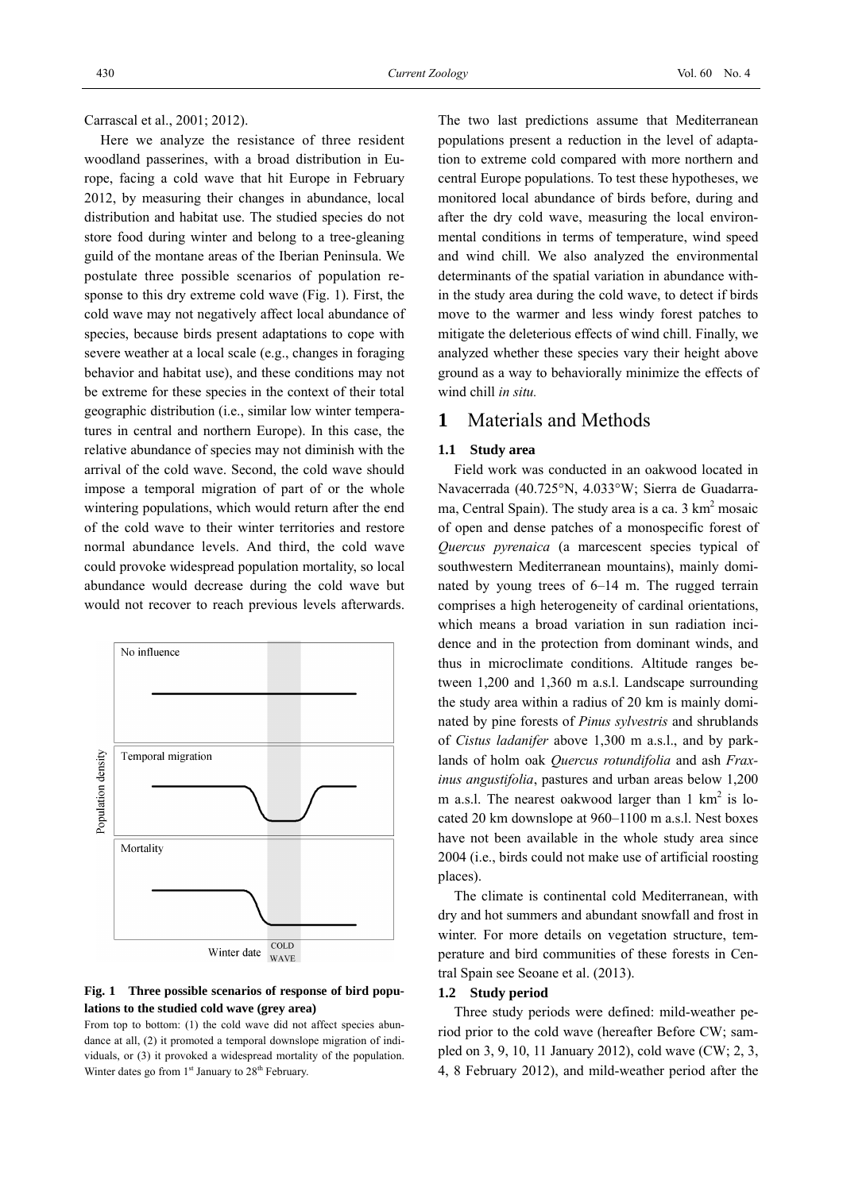Carrascal et al., 2001; 2012).

Here we analyze the resistance of three resident woodland passerines, with a broad distribution in Europe, facing a cold wave that hit Europe in February 2012, by measuring their changes in abundance, local distribution and habitat use. The studied species do not store food during winter and belong to a tree-gleaning guild of the montane areas of the Iberian Peninsula. We postulate three possible scenarios of population response to this dry extreme cold wave (Fig. 1). First, the cold wave may not negatively affect local abundance of species, because birds present adaptations to cope with severe weather at a local scale (e.g., changes in foraging behavior and habitat use), and these conditions may not be extreme for these species in the context of their total geographic distribution (i.e., similar low winter temperatures in central and northern Europe). In this case, the relative abundance of species may not diminish with the arrival of the cold wave. Second, the cold wave should impose a temporal migration of part of or the whole wintering populations, which would return after the end of the cold wave to their winter territories and restore normal abundance levels. And third, the cold wave could provoke widespread population mortality, so local abundance would decrease during the cold wave but would not recover to reach previous levels afterwards.



#### **Fig. 1 Three possible scenarios of response of bird populations to the studied cold wave (grey area)**

From top to bottom: (1) the cold wave did not affect species abundance at all, (2) it promoted a temporal downslope migration of individuals, or (3) it provoked a widespread mortality of the population. Winter dates go from  $1<sup>st</sup>$  January to  $28<sup>th</sup>$  February.

The two last predictions assume that Mediterranean populations present a reduction in the level of adaptation to extreme cold compared with more northern and central Europe populations. To test these hypotheses, we monitored local abundance of birds before, during and after the dry cold wave, measuring the local environmental conditions in terms of temperature, wind speed and wind chill. We also analyzed the environmental determinants of the spatial variation in abundance within the study area during the cold wave, to detect if birds move to the warmer and less windy forest patches to mitigate the deleterious effects of wind chill. Finally, we analyzed whether these species vary their height above ground as a way to behaviorally minimize the effects of wind chill *in situ.*

# **1** Materials and Methods

#### **1.1 Study area**

Field work was conducted in an oakwood located in Navacerrada (40.725°N, 4.033°W; Sierra de Guadarrama, Central Spain). The study area is a ca. 3 km<sup>2</sup> mosaic of open and dense patches of a monospecific forest of *Quercus pyrenaica* (a marcescent species typical of southwestern Mediterranean mountains), mainly dominated by young trees of 6–14 m. The rugged terrain comprises a high heterogeneity of cardinal orientations, which means a broad variation in sun radiation incidence and in the protection from dominant winds, and thus in microclimate conditions. Altitude ranges between 1,200 and 1,360 m a.s.l. Landscape surrounding the study area within a radius of 20 km is mainly dominated by pine forests of *Pinus sylvestris* and shrublands of *Cistus ladanifer* above 1,300 m a.s.l., and by parklands of holm oak *Quercus rotundifolia* and ash *Fraxinus angustifolia*, pastures and urban areas below 1,200 m a.s.l. The nearest oakwood larger than  $1 \text{ km}^2$  is located 20 km downslope at 960–1100 m a.s.l. Nest boxes have not been available in the whole study area since 2004 (i.e., birds could not make use of artificial roosting places).

The climate is continental cold Mediterranean, with dry and hot summers and abundant snowfall and frost in winter. For more details on vegetation structure, temperature and bird communities of these forests in Central Spain see Seoane et al. (2013).

#### **1.2 Study period**

Three study periods were defined: mild-weather period prior to the cold wave (hereafter Before CW; sampled on 3, 9, 10, 11 January 2012), cold wave (CW; 2, 3, 4, 8 February 2012), and mild-weather period after the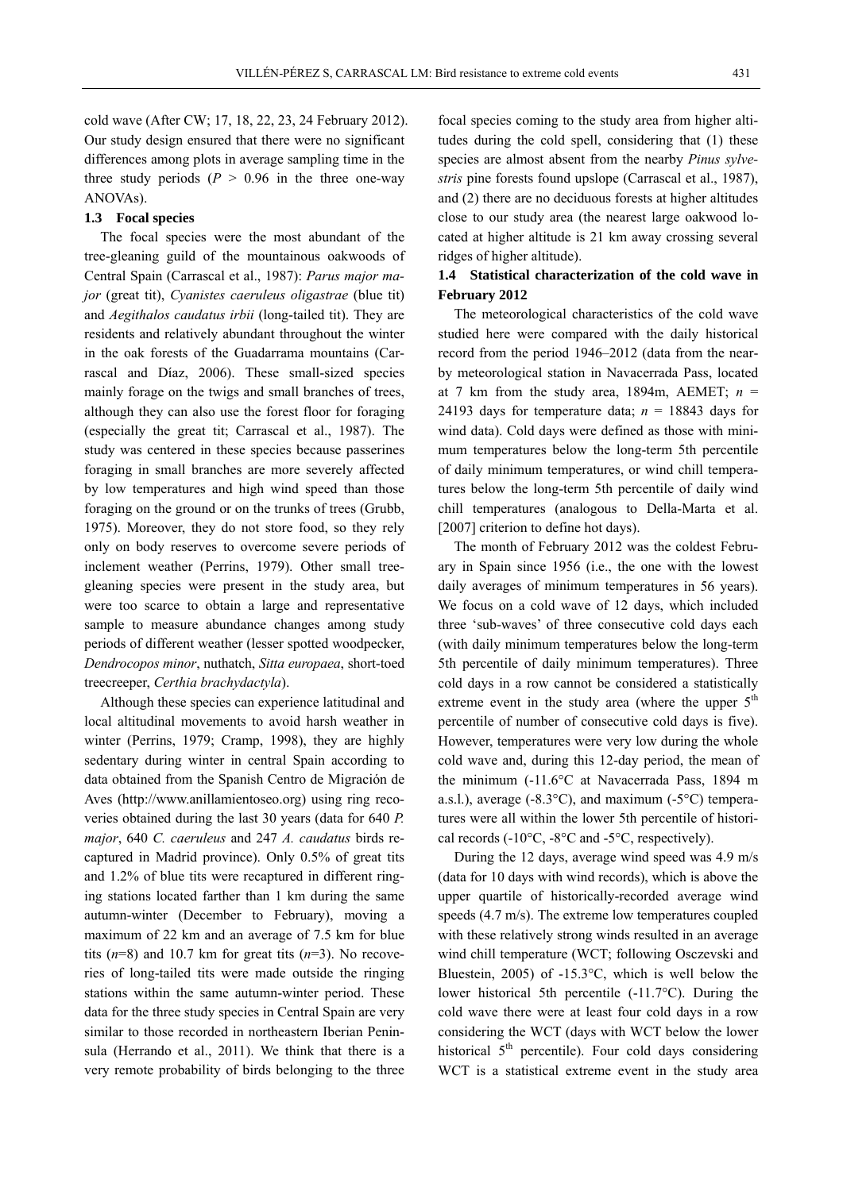cold wave (After CW; 17, 18, 22, 23, 24 February 2012). Our study design ensured that there were no significant differences among plots in average sampling time in the three study periods  $(P > 0.96$  in the three one-way ANOVAs).

#### **1.3 Focal species**

The focal species were the most abundant of the tree-gleaning guild of the mountainous oakwoods of Central Spain (Carrascal et al., 1987): *Parus major major* (great tit), *Cyanistes caeruleus oligastrae* (blue tit) and *Aegithalos caudatus irbii* (long-tailed tit). They are residents and relatively abundant throughout the winter in the oak forests of the Guadarrama mountains (Carrascal and Díaz, 2006). These small-sized species mainly forage on the twigs and small branches of trees, although they can also use the forest floor for foraging (especially the great tit; Carrascal et al., 1987). The study was centered in these species because passerines foraging in small branches are more severely affected by low temperatures and high wind speed than those foraging on the ground or on the trunks of trees (Grubb, 1975). Moreover, they do not store food, so they rely only on body reserves to overcome severe periods of inclement weather (Perrins, 1979). Other small treegleaning species were present in the study area, but were too scarce to obtain a large and representative sample to measure abundance changes among study periods of different weather (lesser spotted woodpecker, *Dendrocopos minor*, nuthatch, *Sitta europaea*, short-toed treecreeper, *Certhia brachydactyla*).

Although these species can experience latitudinal and local altitudinal movements to avoid harsh weather in winter (Perrins, 1979; Cramp, 1998), they are highly sedentary during winter in central Spain according to data obtained from the Spanish Centro de Migración de Aves (http://www.anillamientoseo.org) using ring recoveries obtained during the last 30 years (data for 640 *P. major*, 640 *C. caeruleus* and 247 *A. caudatus* birds recaptured in Madrid province). Only 0.5% of great tits and 1.2% of blue tits were recaptured in different ringing stations located farther than 1 km during the same autumn-winter (December to February), moving a maximum of 22 km and an average of 7.5 km for blue tits  $(n=8)$  and 10.7 km for great tits  $(n=3)$ . No recoveries of long-tailed tits were made outside the ringing stations within the same autumn-winter period. These data for the three study species in Central Spain are very similar to those recorded in northeastern Iberian Peninsula (Herrando et al., 2011). We think that there is a very remote probability of birds belonging to the three

focal species coming to the study area from higher altitudes during the cold spell, considering that (1) these species are almost absent from the nearby *Pinus sylvestris* pine forests found upslope (Carrascal et al., 1987), and (2) there are no deciduous forests at higher altitudes close to our study area (the nearest large oakwood located at higher altitude is 21 km away crossing several ridges of higher altitude).

# **1.4 Statistical characterization of the cold wave in February 2012**

The meteorological characteristics of the cold wave studied here were compared with the daily historical record from the period 1946–2012 (data from the nearby meteorological station in Navacerrada Pass, located at 7 km from the study area, 1894m, AEMET;  $n =$ 24193 days for temperature data;  $n = 18843$  days for wind data). Cold days were defined as those with minimum temperatures below the long-term 5th percentile of daily minimum temperatures, or wind chill temperatures below the long-term 5th percentile of daily wind chill temperatures (analogous to Della-Marta et al. [2007] criterion to define hot days).

The month of February 2012 was the coldest February in Spain since 1956 (i.e., the one with the lowest daily averages of minimum temperatures in 56 years). We focus on a cold wave of 12 days, which included three 'sub-waves' of three consecutive cold days each (with daily minimum temperatures below the long-term 5th percentile of daily minimum temperatures). Three cold days in a row cannot be considered a statistically extreme event in the study area (where the upper  $5<sup>th</sup>$ percentile of number of consecutive cold days is five). However, temperatures were very low during the whole cold wave and, during this 12-day period, the mean of the minimum (-11.6°C at Navacerrada Pass, 1894 m a.s.l.), average  $(-8.3^{\circ}C)$ , and maximum  $(-5^{\circ}C)$  temperatures were all within the lower 5th percentile of historical records  $(-10^{\circ}C, -8^{\circ}C,$  and  $-5^{\circ}C,$  respectively).

During the 12 days, average wind speed was 4.9 m/s (data for 10 days with wind records), which is above the upper quartile of historically-recorded average wind speeds (4.7 m/s). The extreme low temperatures coupled with these relatively strong winds resulted in an average wind chill temperature (WCT; following Osczevski and Bluestein, 2005) of -15.3°C, which is well below the lower historical 5th percentile (-11.7°C). During the cold wave there were at least four cold days in a row considering the WCT (days with WCT below the lower historical  $5<sup>th</sup>$  percentile). Four cold days considering WCT is a statistical extreme event in the study area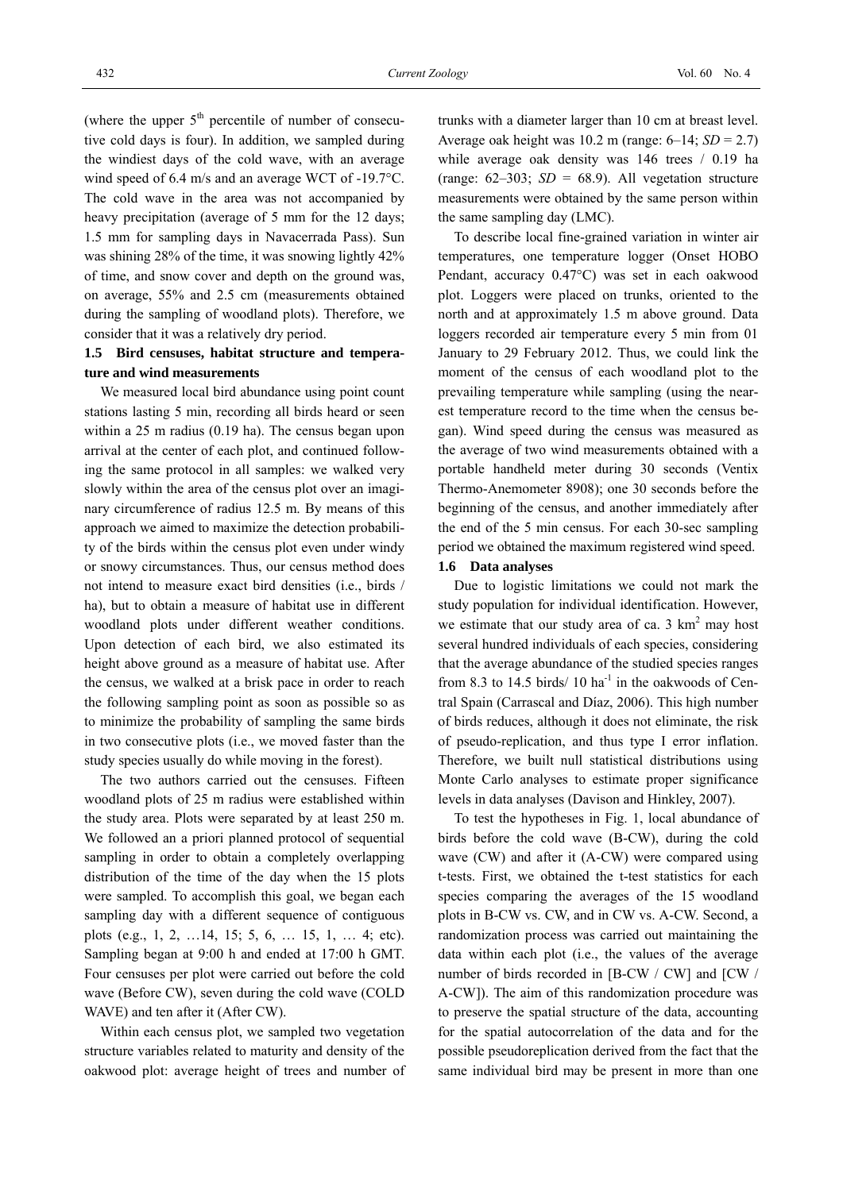(where the upper  $5<sup>th</sup>$  percentile of number of consecutive cold days is four). In addition, we sampled during the windiest days of the cold wave, with an average wind speed of 6.4 m/s and an average WCT of -19.7°C. The cold wave in the area was not accompanied by heavy precipitation (average of 5 mm for the 12 days; 1.5 mm for sampling days in Navacerrada Pass). Sun was shining 28% of the time, it was snowing lightly 42% of time, and snow cover and depth on the ground was, on average, 55% and 2.5 cm (measurements obtained during the sampling of woodland plots). Therefore, we consider that it was a relatively dry period.

# **1.5 Bird censuses, habitat structure and temperature and wind measurements**

We measured local bird abundance using point count stations lasting 5 min, recording all birds heard or seen within a 25 m radius (0.19 ha). The census began upon arrival at the center of each plot, and continued following the same protocol in all samples: we walked very slowly within the area of the census plot over an imaginary circumference of radius 12.5 m. By means of this approach we aimed to maximize the detection probability of the birds within the census plot even under windy or snowy circumstances. Thus, our census method does not intend to measure exact bird densities (i.e., birds / ha), but to obtain a measure of habitat use in different woodland plots under different weather conditions. Upon detection of each bird, we also estimated its height above ground as a measure of habitat use. After the census, we walked at a brisk pace in order to reach the following sampling point as soon as possible so as to minimize the probability of sampling the same birds in two consecutive plots (i.e., we moved faster than the study species usually do while moving in the forest).

The two authors carried out the censuses. Fifteen woodland plots of 25 m radius were established within the study area. Plots were separated by at least 250 m. We followed an a priori planned protocol of sequential sampling in order to obtain a completely overlapping distribution of the time of the day when the 15 plots were sampled. To accomplish this goal, we began each sampling day with a different sequence of contiguous plots (e.g., 1, 2, …14, 15; 5, 6, … 15, 1, … 4; etc). Sampling began at 9:00 h and ended at 17:00 h GMT. Four censuses per plot were carried out before the cold wave (Before CW), seven during the cold wave (COLD WAVE) and ten after it (After CW).

Within each census plot, we sampled two vegetation structure variables related to maturity and density of the oakwood plot: average height of trees and number of trunks with a diameter larger than 10 cm at breast level. Average oak height was 10.2 m (range: 6–14; *SD* = 2.7) while average oak density was 146 trees / 0.19 ha (range:  $62-303$ ;  $SD = 68.9$ ). All vegetation structure measurements were obtained by the same person within the same sampling day (LMC).

To describe local fine-grained variation in winter air temperatures, one temperature logger (Onset HOBO Pendant, accuracy 0.47°C) was set in each oakwood plot. Loggers were placed on trunks, oriented to the north and at approximately 1.5 m above ground. Data loggers recorded air temperature every 5 min from 01 January to 29 February 2012. Thus, we could link the moment of the census of each woodland plot to the prevailing temperature while sampling (using the nearest temperature record to the time when the census began). Wind speed during the census was measured as the average of two wind measurements obtained with a portable handheld meter during 30 seconds (Ventix Thermo-Anemometer 8908); one 30 seconds before the beginning of the census, and another immediately after the end of the 5 min census. For each 30-sec sampling period we obtained the maximum registered wind speed. **1.6 Data analyses** 

Due to logistic limitations we could not mark the study population for individual identification. However, we estimate that our study area of ca. 3 km<sup>2</sup> may host several hundred individuals of each species, considering that the average abundance of the studied species ranges from 8.3 to 14.5 birds/ 10  $ha^{-1}$  in the oakwoods of Central Spain (Carrascal and Díaz, 2006). This high number of birds reduces, although it does not eliminate, the risk of pseudo-replication, and thus type I error inflation. Therefore, we built null statistical distributions using Monte Carlo analyses to estimate proper significance levels in data analyses (Davison and Hinkley, 2007).

To test the hypotheses in Fig. 1, local abundance of birds before the cold wave (B-CW), during the cold wave (CW) and after it (A-CW) were compared using t-tests. First, we obtained the t-test statistics for each species comparing the averages of the 15 woodland plots in B-CW vs. CW, and in CW vs. A-CW. Second, a randomization process was carried out maintaining the data within each plot (i.e., the values of the average number of birds recorded in [B-CW / CW] and [CW / A-CW]). The aim of this randomization procedure was to preserve the spatial structure of the data, accounting for the spatial autocorrelation of the data and for the possible pseudoreplication derived from the fact that the same individual bird may be present in more than one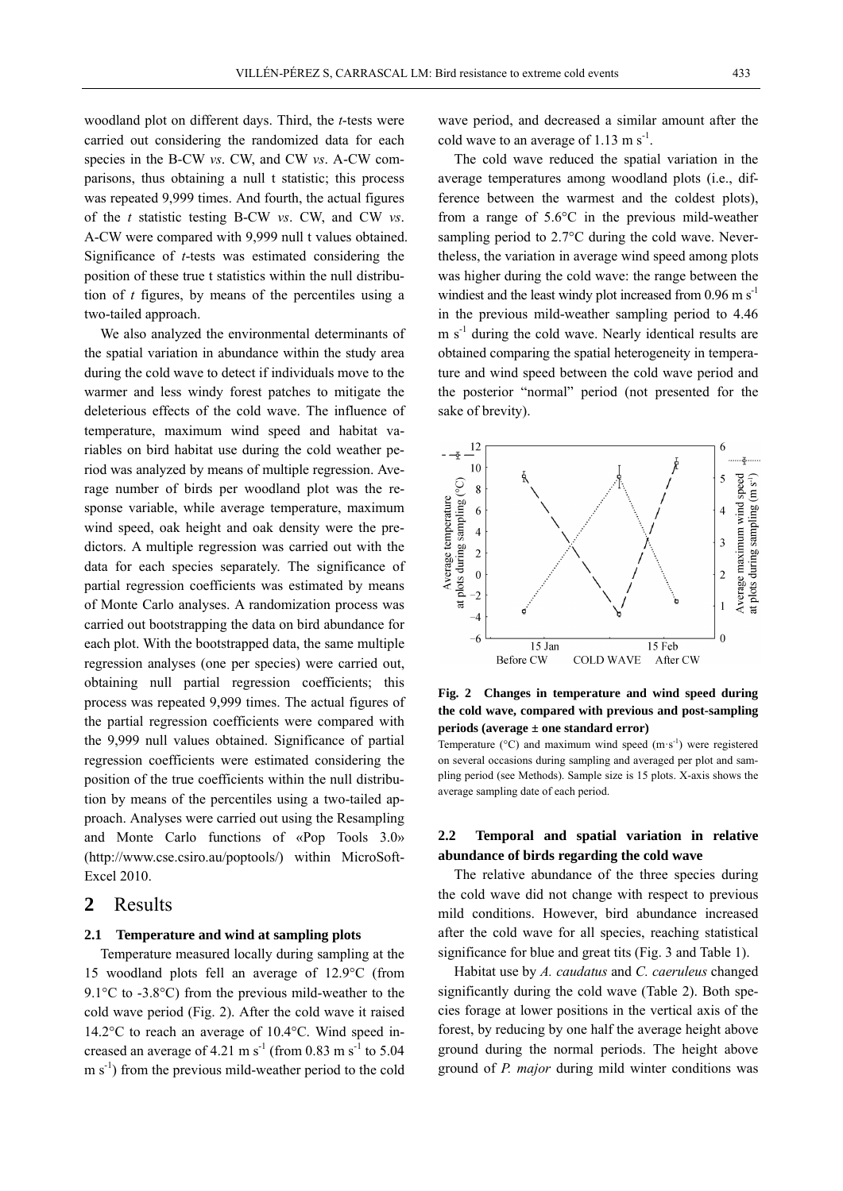woodland plot on different days. Third, the *t*-tests were carried out considering the randomized data for each species in the B-CW *vs*. CW, and CW *vs*. A-CW comparisons, thus obtaining a null t statistic; this process was repeated 9,999 times. And fourth, the actual figures of the *t* statistic testing B-CW *vs*. CW, and CW *vs*. A-CW were compared with 9,999 null t values obtained. Significance of *t*-tests was estimated considering the position of these true t statistics within the null distribution of *t* figures, by means of the percentiles using a two-tailed approach.

We also analyzed the environmental determinants of the spatial variation in abundance within the study area during the cold wave to detect if individuals move to the warmer and less windy forest patches to mitigate the deleterious effects of the cold wave. The influence of temperature, maximum wind speed and habitat variables on bird habitat use during the cold weather period was analyzed by means of multiple regression. Average number of birds per woodland plot was the response variable, while average temperature, maximum wind speed, oak height and oak density were the predictors. A multiple regression was carried out with the data for each species separately. The significance of partial regression coefficients was estimated by means of Monte Carlo analyses. A randomization process was carried out bootstrapping the data on bird abundance for each plot. With the bootstrapped data, the same multiple regression analyses (one per species) were carried out, obtaining null partial regression coefficients; this process was repeated 9,999 times. The actual figures of the partial regression coefficients were compared with the 9,999 null values obtained. Significance of partial regression coefficients were estimated considering the position of the true coefficients within the null distribution by means of the percentiles using a two-tailed approach. Analyses were carried out using the Resampling and Monte Carlo functions of «Pop Tools 3.0» (http://www.cse.csiro.au/poptools/) within MicroSoft-Excel 2010.

# **2** Results

# **2.1 Temperature and wind at sampling plots**

Temperature measured locally during sampling at the 15 woodland plots fell an average of 12.9°C (from 9.1°C to -3.8°C) from the previous mild-weather to the cold wave period (Fig. 2). After the cold wave it raised 14.2°C to reach an average of 10.4°C. Wind speed increased an average of 4.21 m s<sup>-1</sup> (from 0.83 m s<sup>-1</sup> to 5.04)  $\text{m s}^{-1}$ ) from the previous mild-weather period to the cold

wave period, and decreased a similar amount after the cold wave to an average of  $1.13 \text{ m s}^{-1}$ .

The cold wave reduced the spatial variation in the average temperatures among woodland plots (i.e., difference between the warmest and the coldest plots), from a range of 5.6°C in the previous mild-weather sampling period to 2.7°C during the cold wave. Nevertheless, the variation in average wind speed among plots was higher during the cold wave: the range between the windiest and the least windy plot increased from  $0.96 \text{ m s}^{-1}$ in the previous mild-weather sampling period to 4.46  $m s<sup>-1</sup>$  during the cold wave. Nearly identical results are obtained comparing the spatial heterogeneity in temperature and wind speed between the cold wave period and the posterior "normal" period (not presented for the sake of brevity).



**Fig. 2 Changes in temperature and wind speed during the cold wave, compared with previous and post-sampling periods (average ± one standard error)**

Temperature ( $^{\circ}$ C) and maximum wind speed (m·s<sup>-1</sup>) were registered on several occasions during sampling and averaged per plot and sampling period (see Methods). Sample size is 15 plots. X-axis shows the average sampling date of each period.

# **2.2 Temporal and spatial variation in relative abundance of birds regarding the cold wave**

The relative abundance of the three species during the cold wave did not change with respect to previous mild conditions. However, bird abundance increased after the cold wave for all species, reaching statistical significance for blue and great tits (Fig. 3 and Table 1).

Habitat use by *A. caudatus* and *C. caeruleus* changed significantly during the cold wave (Table 2). Both species forage at lower positions in the vertical axis of the forest, by reducing by one half the average height above ground during the normal periods. The height above ground of *P. major* during mild winter conditions was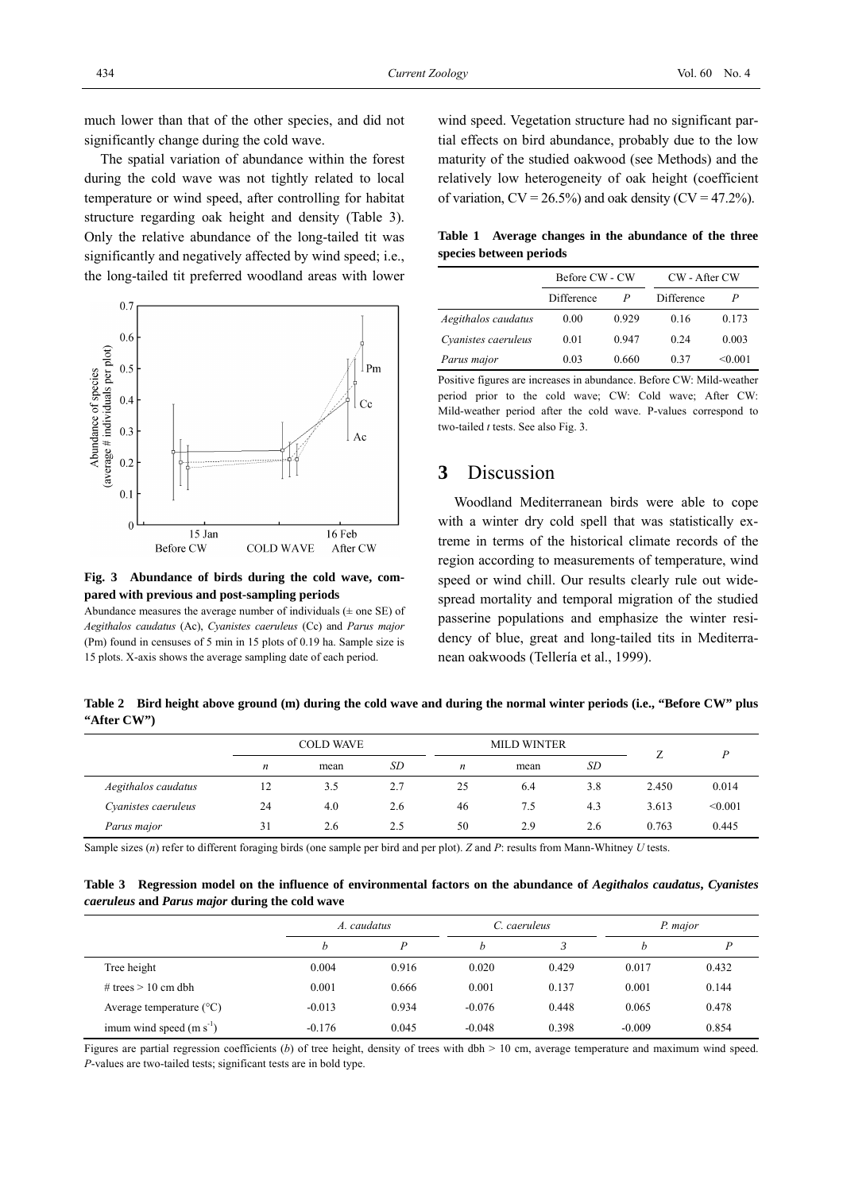much lower than that of the other species, and did not significantly change during the cold wave.

The spatial variation of abundance within the forest during the cold wave was not tightly related to local temperature or wind speed, after controlling for habitat structure regarding oak height and density (Table 3). Only the relative abundance of the long-tailed tit was significantly and negatively affected by wind speed; i.e., the long-tailed tit preferred woodland areas with lower



**Fig. 3 Abundance of birds during the cold wave, compared with previous and post-sampling periods** 

Abundance measures the average number of individuals  $(± one SE)$  of *Aegithalos caudatus* (Ac), *Cyanistes caeruleus* (Cc) and *Parus major* (Pm) found in censuses of 5 min in 15 plots of 0.19 ha. Sample size is 15 plots. X-axis shows the average sampling date of each period.

wind speed. Vegetation structure had no significant partial effects on bird abundance, probably due to the low maturity of the studied oakwood (see Methods) and the relatively low heterogeneity of oak height (coefficient of variation,  $CV = 26.5\%$  and oak density  $(CV = 47.2\%)$ .

**Table 1 Average changes in the abundance of the three species between periods** 

|                     | Before CW - CW  |       | CW - After CW |         |  |
|---------------------|-----------------|-------|---------------|---------|--|
|                     | Difference<br>P |       | Difference    | P       |  |
| Aegithalos caudatus | 0.00            | 0.929 | 0.16          | 0.173   |  |
| Cyanistes caeruleus | 0.01            | 0.947 | 0.24          | 0.003   |  |
| Parus major         | 0.03            | 0.660 | 0.37          | < 0.001 |  |

Positive figures are increases in abundance. Before CW: Mild-weather period prior to the cold wave; CW: Cold wave; After CW: Mild-weather period after the cold wave. P-values correspond to two-tailed *t* tests. See also Fig. 3.

# **3** Discussion

Woodland Mediterranean birds were able to cope with a winter dry cold spell that was statistically extreme in terms of the historical climate records of the region according to measurements of temperature, wind speed or wind chill. Our results clearly rule out widespread mortality and temporal migration of the studied passerine populations and emphasize the winter residency of blue, great and long-tailed tits in Mediterranean oakwoods (Tellería et al., 1999).

**Table 2 Bird height above ground (m) during the cold wave and during the normal winter periods (i.e., "Before CW" plus "After CW")** 

|                     |    | <b>COLD WAVE</b> |     |                  | <b>MILD WINTER</b> |     |       |         |
|---------------------|----|------------------|-----|------------------|--------------------|-----|-------|---------|
|                     | n  | mean             | SD  | $\boldsymbol{n}$ | mean               | SD  |       |         |
| Aegithalos caudatus | 12 | 3.5              | 2.7 | 25               | 6.4                | 3.8 | 2.450 | 0.014   |
| Cyanistes caeruleus | 24 | 4.0              | 2.6 | 46               | 7.5                | 4.3 | 3.613 | < 0.001 |
| Parus major         | 31 | 2.6              | 2.5 | 50               | 2.9                | 2.6 | 0.763 | 0.445   |

Sample sizes (*n*) refer to different foraging birds (one sample per bird and per plot). *Z* and *P*: results from Mann-Whitney *U* tests.

Table 3 Regression model on the influence of environmental factors on the abundance of Aegithalos caudatus, Cyanistes *caeruleus* **and** *Parus major* **during the cold wave**

|                                   | A. caudatus |       | C. caeruleus |       | P. major |       |
|-----------------------------------|-------------|-------|--------------|-------|----------|-------|
|                                   | b           |       | b            | R     | h        |       |
| Tree height                       | 0.004       | 0.916 | 0.020        | 0.429 | 0.017    | 0.432 |
| # trees $> 10$ cm dbh             | 0.001       | 0.666 | 0.001        | 0.137 | 0.001    | 0.144 |
| Average temperature $(^{\circ}C)$ | $-0.013$    | 0.934 | $-0.076$     | 0.448 | 0.065    | 0.478 |
| imum wind speed $(m s-1)$         | $-0.176$    | 0.045 | $-0.048$     | 0.398 | $-0.009$ | 0.854 |

Figures are partial regression coefficients (*b*) of tree height, density of trees with dbh  $> 10$  cm, average temperature and maximum wind speed. *P*-values are two-tailed tests; significant tests are in bold type.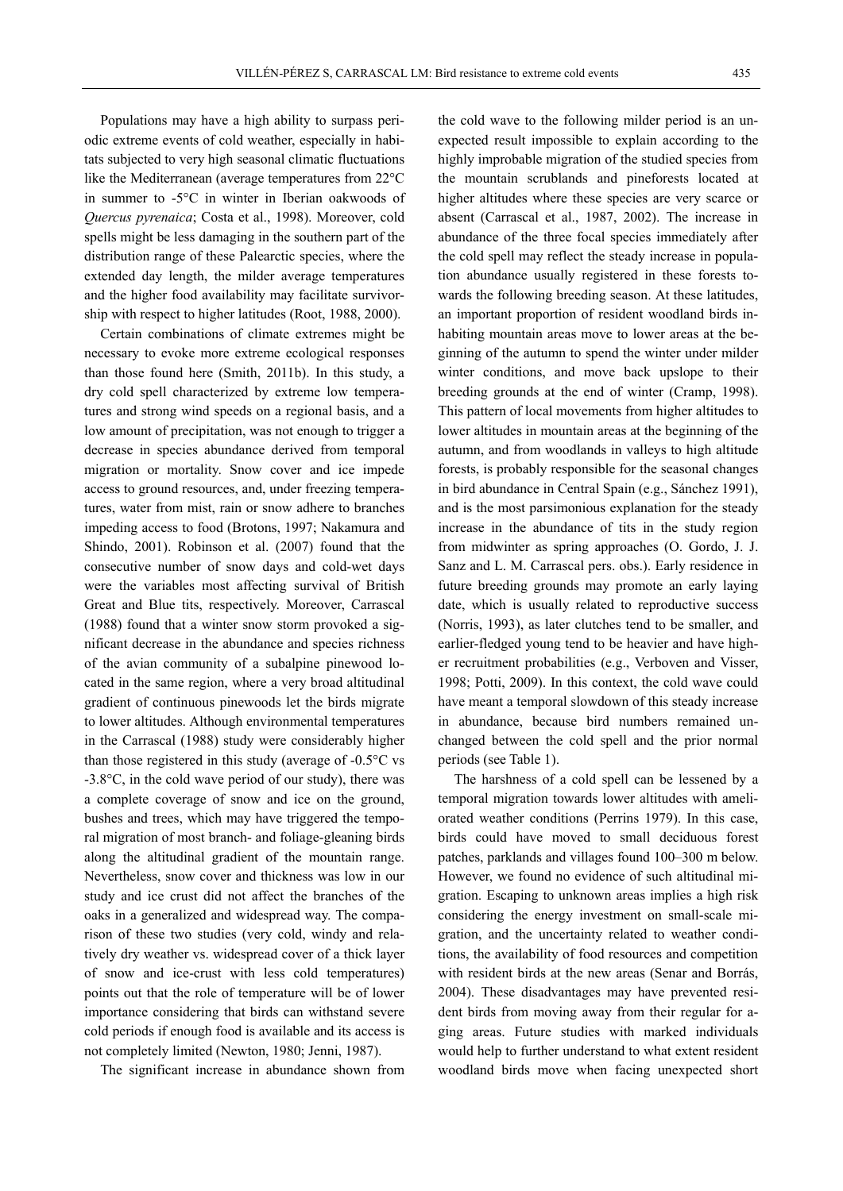Populations may have a high ability to surpass periodic extreme events of cold weather, especially in habitats subjected to very high seasonal climatic fluctuations like the Mediterranean (average temperatures from 22°C in summer to -5°C in winter in Iberian oakwoods of *Quercus pyrenaica*; Costa et al., 1998). Moreover, cold spells might be less damaging in the southern part of the distribution range of these Palearctic species, where the extended day length, the milder average temperatures and the higher food availability may facilitate survivorship with respect to higher latitudes (Root, 1988, 2000).

Certain combinations of climate extremes might be necessary to evoke more extreme ecological responses than those found here (Smith, 2011b). In this study, a dry cold spell characterized by extreme low temperatures and strong wind speeds on a regional basis, and a low amount of precipitation, was not enough to trigger a decrease in species abundance derived from temporal migration or mortality. Snow cover and ice impede access to ground resources, and, under freezing temperatures, water from mist, rain or snow adhere to branches impeding access to food (Brotons, 1997; Nakamura and Shindo, 2001). Robinson et al. (2007) found that the consecutive number of snow days and cold-wet days were the variables most affecting survival of British Great and Blue tits, respectively. Moreover, Carrascal (1988) found that a winter snow storm provoked a significant decrease in the abundance and species richness of the avian community of a subalpine pinewood located in the same region, where a very broad altitudinal gradient of continuous pinewoods let the birds migrate to lower altitudes. Although environmental temperatures in the Carrascal (1988) study were considerably higher than those registered in this study (average of -0.5°C vs -3.8°C, in the cold wave period of our study), there was a complete coverage of snow and ice on the ground, bushes and trees, which may have triggered the temporal migration of most branch- and foliage-gleaning birds along the altitudinal gradient of the mountain range. Nevertheless, snow cover and thickness was low in our study and ice crust did not affect the branches of the oaks in a generalized and widespread way. The comparison of these two studies (very cold, windy and relatively dry weather vs. widespread cover of a thick layer of snow and ice-crust with less cold temperatures) points out that the role of temperature will be of lower importance considering that birds can withstand severe cold periods if enough food is available and its access is not completely limited (Newton, 1980; Jenni, 1987).

The significant increase in abundance shown from

the cold wave to the following milder period is an unexpected result impossible to explain according to the highly improbable migration of the studied species from the mountain scrublands and pineforests located at higher altitudes where these species are very scarce or absent (Carrascal et al., 1987, 2002). The increase in abundance of the three focal species immediately after the cold spell may reflect the steady increase in population abundance usually registered in these forests towards the following breeding season. At these latitudes, an important proportion of resident woodland birds inhabiting mountain areas move to lower areas at the beginning of the autumn to spend the winter under milder winter conditions, and move back upslope to their breeding grounds at the end of winter (Cramp, 1998). This pattern of local movements from higher altitudes to lower altitudes in mountain areas at the beginning of the autumn, and from woodlands in valleys to high altitude forests, is probably responsible for the seasonal changes in bird abundance in Central Spain (e.g., Sánchez 1991), and is the most parsimonious explanation for the steady increase in the abundance of tits in the study region from midwinter as spring approaches (O. Gordo, J. J. Sanz and L. M. Carrascal pers. obs.). Early residence in future breeding grounds may promote an early laying date, which is usually related to reproductive success (Norris, 1993), as later clutches tend to be smaller, and earlier-fledged young tend to be heavier and have higher recruitment probabilities (e.g., Verboven and Visser, 1998; Potti, 2009). In this context, the cold wave could have meant a temporal slowdown of this steady increase in abundance, because bird numbers remained unchanged between the cold spell and the prior normal periods (see Table 1).

The harshness of a cold spell can be lessened by a temporal migration towards lower altitudes with ameliorated weather conditions (Perrins 1979). In this case, birds could have moved to small deciduous forest patches, parklands and villages found 100‒300 m below. However, we found no evidence of such altitudinal migration. Escaping to unknown areas implies a high risk considering the energy investment on small-scale migration, and the uncertainty related to weather conditions, the availability of food resources and competition with resident birds at the new areas (Senar and Borrás, 2004). These disadvantages may have prevented resident birds from moving away from their regular for aging areas. Future studies with marked individuals would help to further understand to what extent resident woodland birds move when facing unexpected short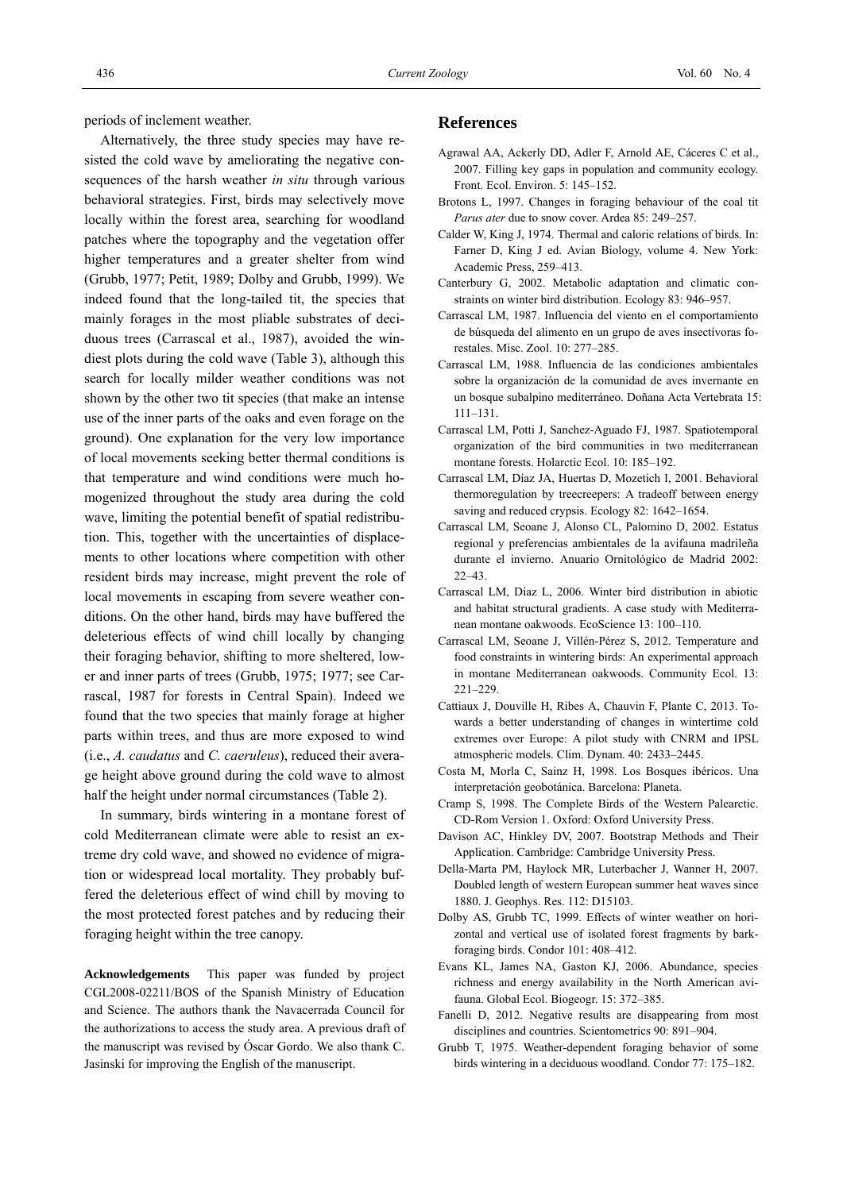periods of inclement weather.

Alternatively, the three study species may have resisted the cold wave by ameliorating the negative consequences of the harsh weather *in situ* through various behavioral strategies. First, birds may selectively move locally within the forest area, searching for woodland patches where the topography and the vegetation offer higher temperatures and a greater shelter from wind (Grubb, 1977; Petit, 1989; Dolby and Grubb, 1999). We indeed found that the long-tailed tit, the species that mainly forages in the most pliable substrates of deciduous trees (Carrascal et al., 1987), avoided the windiest plots during the cold wave (Table 3), although this search for locally milder weather conditions was not shown by the other two tit species (that make an intense use of the inner parts of the oaks and even forage on the ground). One explanation for the very low importance of local movements seeking better thermal conditions is that temperature and wind conditions were much homogenized throughout the study area during the cold wave, limiting the potential benefit of spatial redistribution. This, together with the uncertainties of displacements to other locations where competition with other resident birds may increase, might prevent the role of local movements in escaping from severe weather conditions. On the other hand, birds may have buffered the deleterious effects of wind chill locally by changing their foraging behavior, shifting to more sheltered, lower and inner parts of trees (Grubb, 1975; 1977; see Carrascal, 1987 for forests in Central Spain). Indeed we found that the two species that mainly forage at higher parts within trees, and thus are more exposed to wind (i.e., *A. caudatus* and *C. caeruleus*), reduced their average height above ground during the cold wave to almost half the height under normal circumstances (Table 2).

In summary, birds wintering in a montane forest of cold Mediterranean climate were able to resist an extreme dry cold wave, and showed no evidence of migration or widespread local mortality. They probably buffered the deleterious effect of wind chill by moving to the most protected forest patches and by reducing their foraging height within the tree canopy.

**Acknowledgements** This paper was funded by project CGL2008-02211/BOS of the Spanish Ministry of Education and Science. The authors thank the Navacerrada Council for the authorizations to access the study area. A previous draft of the manuscript was revised by Óscar Gordo. We also thank C. Jasinski for improving the English of the manuscript.

### **References**

- Agrawal AA, Ackerly DD, Adler F, Arnold AE, Cáceres C et al., 2007. Filling key gaps in population and community ecology. Front. Ecol. Environ. 5: 145–152.
- Brotons L, 1997. Changes in foraging behaviour of the coal tit *Parus ater* due to snow cover. Ardea 85: 249–257.
- Calder W, King J, 1974. Thermal and caloric relations of birds. In: Farner D, King J ed. Avian Biology, volume 4. New York: Academic Press, 259–413.
- Canterbury G, 2002. Metabolic adaptation and climatic constraints on winter bird distribution. Ecology 83: 946–957.
- Carrascal LM, 1987. Influencia del viento en el comportamiento de búsqueda del alimento en un grupo de aves insectívoras forestales. Misc. Zool. 10: 277–285.
- Carrascal LM, 1988. Influencia de las condiciones ambientales sobre la organización de la comunidad de aves invernante en un bosque subalpino mediterráneo. Doñana Acta Vertebrata 15: 111–131.
- Carrascal LM, Potti J, Sanchez-Aguado FJ, 1987. Spatiotemporal organization of the bird communities in two mediterranean montane forests. Holarctic Ecol. 10: 185–192.
- Carrascal LM, Díaz JA, Huertas D, Mozetich I, 2001. Behavioral thermoregulation by treecreepers: A tradeoff between energy saving and reduced crypsis. Ecology 82: 1642–1654.
- Carrascal LM, Seoane J, Alonso CL, Palomino D, 2002. Estatus regional y preferencias ambientales de la avifauna madrileña durante el invierno. Anuario Ornitológico de Madrid 2002: 22–43.
- Carrascal LM, Díaz L, 2006. Winter bird distribution in abiotic and habitat structural gradients. A case study with Mediterranean montane oakwoods. EcoScience 13: 100–110.
- Carrascal LM, Seoane J, Villén-Pérez S, 2012. Temperature and food constraints in wintering birds: An experimental approach in montane Mediterranean oakwoods. Community Ecol. 13: 221–229.
- Cattiaux J, Douville H, Ribes A, Chauvin F, Plante C, 2013. Towards a better understanding of changes in wintertime cold extremes over Europe: A pilot study with CNRM and IPSL atmospheric models. Clim. Dynam. 40: 2433–2445.
- Costa M, Morla C, Sainz H, 1998. Los Bosques ibéricos. Una interpretación geobotánica. Barcelona: Planeta.
- Cramp S, 1998. The Complete Birds of the Western Palearctic. CD-Rom Version 1. Oxford: Oxford University Press.
- Davison AC, Hinkley DV, 2007. Bootstrap Methods and Their Application. Cambridge: Cambridge University Press.
- Della-Marta PM, Haylock MR, Luterbacher J, Wanner H, 2007. Doubled length of western European summer heat waves since 1880. J. Geophys. Res. 112: D15103.
- Dolby AS, Grubb TC, 1999. Effects of winter weather on horizontal and vertical use of isolated forest fragments by barkforaging birds. Condor 101: 408–412.
- Evans KL, James NA, Gaston KJ, 2006. Abundance, species richness and energy availability in the North American avifauna. Global Ecol. Biogeogr. 15: 372–385.
- Fanelli D, 2012. Negative results are disappearing from most disciplines and countries. Scientometrics 90: 891–904.
- Grubb T, 1975. Weather-dependent foraging behavior of some birds wintering in a deciduous woodland. Condor 77: 175–182.